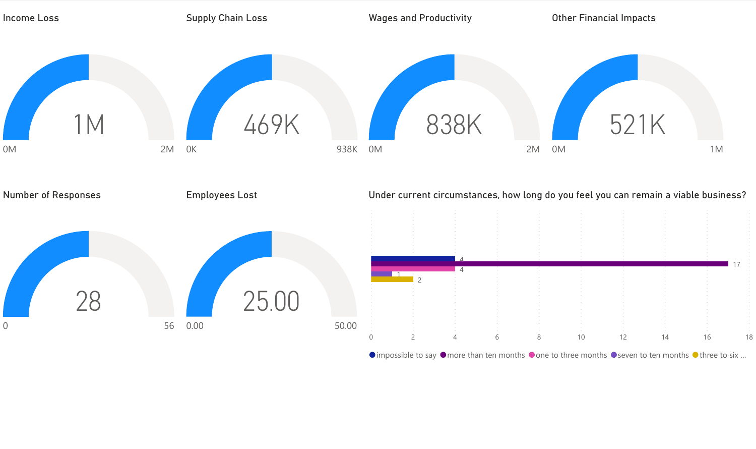

 $\bullet$  impossible to say  $\bullet$  more than ten months  $\bullet$  one to three months  $\bullet$  seven to ten months  $\bullet$  three to six ...